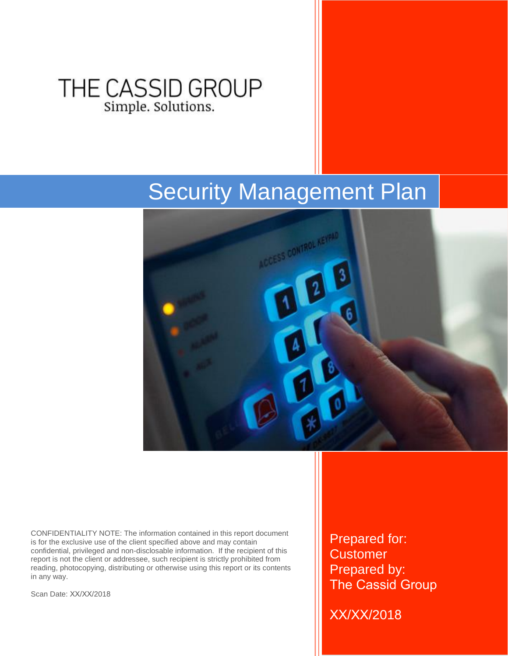## THE CASSID GROUP Simple. Solutions.

# Security Management Plan



CONFIDENTIALITY NOTE: The information contained in this report document is for the exclusive use of the client specified above and may contain confidential, privileged and non-disclosable information. If the recipient of this report is not the client or addressee, such recipient is strictly prohibited from reading, photocopying, distributing or otherwise using this report or its contents in any way.

Scan Date: XX/XX/2018

Prepared for: **Customer** Prepared by: The Cassid Group

XX/XX/2018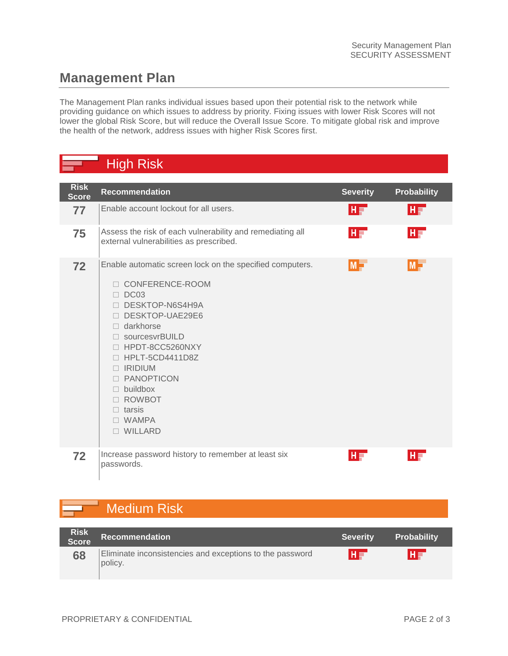#### **Management Plan**

The Management Plan ranks individual issues based upon their potential risk to the network while providing guidance on which issues to address by priority. Fixing issues with lower Risk Scores will not lower the global Risk Score, but will reduce the Overall Issue Score. To mitigate global risk and improve the health of the network, address issues with higher Risk Scores first.

#### High Risk

| <b>Risk</b><br><b>Score</b> | <b>Recommendation</b>                                                                                                                                                                                                                                                                                                                        | <b>Severity</b> | <b>Probability</b> |
|-----------------------------|----------------------------------------------------------------------------------------------------------------------------------------------------------------------------------------------------------------------------------------------------------------------------------------------------------------------------------------------|-----------------|--------------------|
| 77                          | Enable account lockout for all users.                                                                                                                                                                                                                                                                                                        | HF'             | HF                 |
| 75                          | Assess the risk of each vulnerability and remediating all<br>external vulnerabilities as prescribed.                                                                                                                                                                                                                                         | HT              | HF                 |
| 72                          | Enable automatic screen lock on the specified computers.<br>CONFERENCE-ROOM<br>$\Box$ DC03<br>DESKTOP-N6S4H9A<br>DESKTOP-UAE29E6<br>$\Box$ darkhorse<br>□ sourcesvrBUILD<br>□ HPDT-8CC5260NXY<br>□ HPLT-5CD4411D8Z<br>$\Box$ IRIDIUM<br><b>PANOPTICON</b><br>П.<br>$\Box$ buildbox<br>□ ROWBOT<br>$\Box$ tarsis<br>$\Box$ WAMPA<br>□ WILLARD | $M -$           | $M -$              |
| 72                          | Increase password history to remember at least six<br>passwords.                                                                                                                                                                                                                                                                             | HF              | $H =$              |

### Medium Risk

| <b>Risk</b><br>Score | <b>Recommendation</b>                                               | <b>Severity</b> | <b>Probability</b> |
|----------------------|---------------------------------------------------------------------|-----------------|--------------------|
| 68                   | Eliminate inconsistencies and exceptions to the password<br>policy. | HE              | H                  |